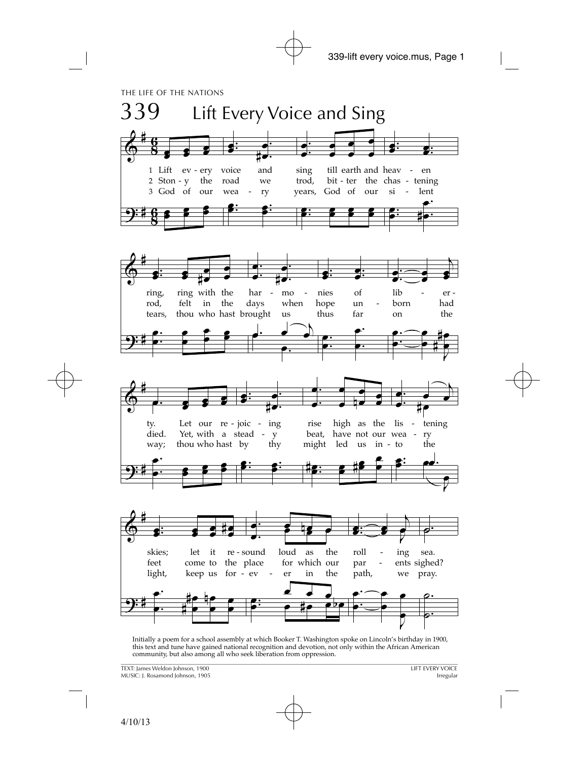

Initially a poem for a school assembly at which Booker T. Washington spoke on Lincoln's birthday in 1900, this text and tune have gained national recognition and devotion, not only within the African American community, but also among all who seek liberation from oppression.